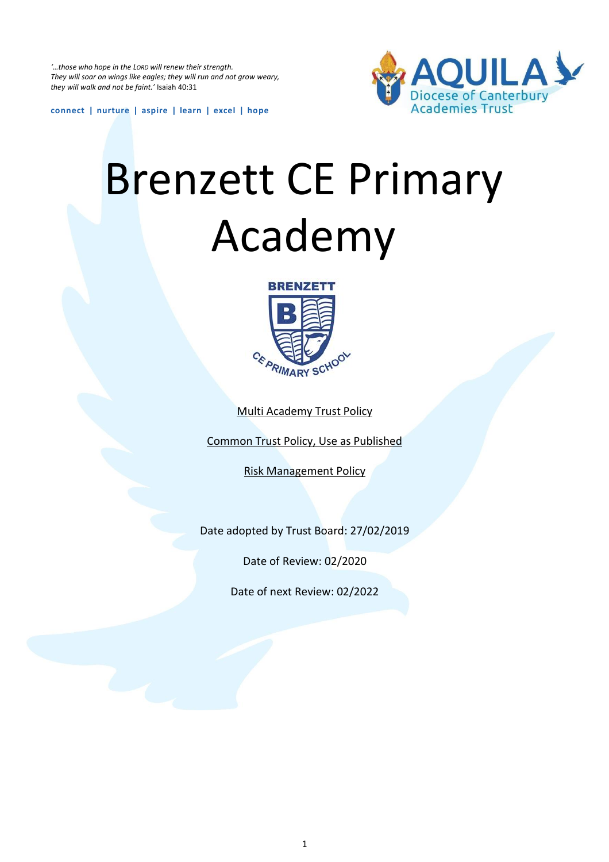*'…those who hope in the LORD will renew their strength. They will soar on wings like eagles; they will run and not grow weary, they will walk and not be faint.'* Isaiah 40:31



**connect | nurture | aspire | learn | excel | hope**

# Brenzett CE Primary Academy



Multi Academy Trust Policy

Common Trust Policy, Use as Published

Risk Management Policy

Date adopted by Trust Board: 27/02/2019

Date of Review: 02/2020

Date of next Review: 02/2022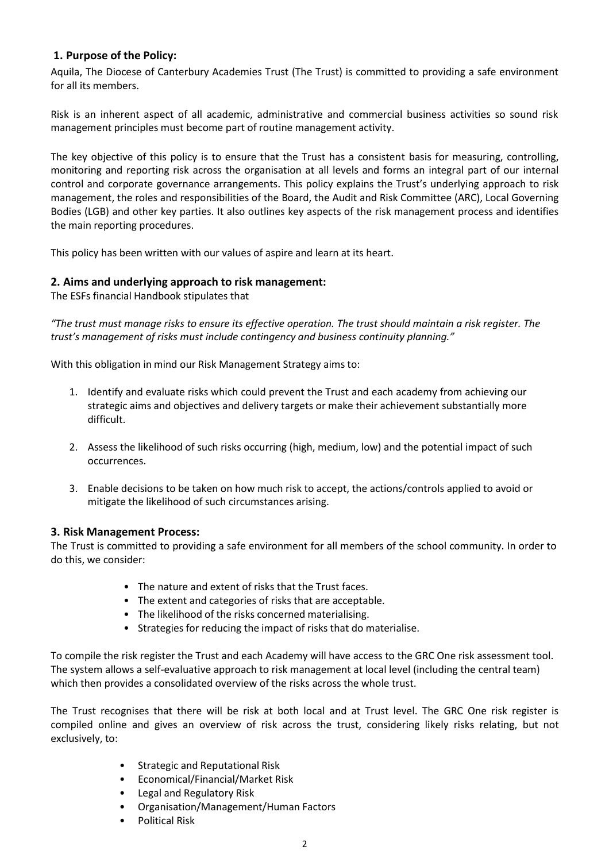#### **1. Purpose of the Policy:**

Aquila, The Diocese of Canterbury Academies Trust (The Trust) is committed to providing a safe environment for all its members.

Risk is an inherent aspect of all academic, administrative and commercial business activities so sound risk management principles must become part of routine management activity.

The key objective of this policy is to ensure that the Trust has a consistent basis for measuring, controlling, monitoring and reporting risk across the organisation at all levels and forms an integral part of our internal control and corporate governance arrangements. This policy explains the Trust's underlying approach to risk management, the roles and responsibilities of the Board, the Audit and Risk Committee (ARC), Local Governing Bodies (LGB) and other key parties. It also outlines key aspects of the risk management process and identifies the main reporting procedures.

This policy has been written with our values of aspire and learn at its heart.

#### **2. Aims and underlying approach to risk management:**

The ESFs financial Handbook stipulates that

*"The trust must manage risks to ensure its effective operation. The trust should maintain a risk register. The trust's management of risks must include contingency and business continuity planning."*

With this obligation in mind our Risk Management Strategy aims to:

- 1. Identify and evaluate risks which could prevent the Trust and each academy from achieving our strategic aims and objectives and delivery targets or make their achievement substantially more difficult.
- 2. Assess the likelihood of such risks occurring (high, medium, low) and the potential impact of such occurrences.
- 3. Enable decisions to be taken on how much risk to accept, the actions/controls applied to avoid or mitigate the likelihood of such circumstances arising.

#### **3. Risk Management Process:**

The Trust is committed to providing a safe environment for all members of the school community. In order to do this, we consider:

- The nature and extent of risks that the Trust faces.
- The extent and categories of risks that are acceptable.
- The likelihood of the risks concerned materialising.
- Strategies for reducing the impact of risks that do materialise.

To compile the risk register the Trust and each Academy will have access to the GRC One risk assessment tool. The system allows a self-evaluative approach to risk management at local level (including the central team) which then provides a consolidated overview of the risks across the whole trust.

The Trust recognises that there will be risk at both local and at Trust level. The GRC One risk register is compiled online and gives an overview of risk across the trust, considering likely risks relating, but not exclusively, to:

- Strategic and Reputational Risk
- Economical/Financial/Market Risk
- Legal and Regulatory Risk
- Organisation/Management/Human Factors
- Political Risk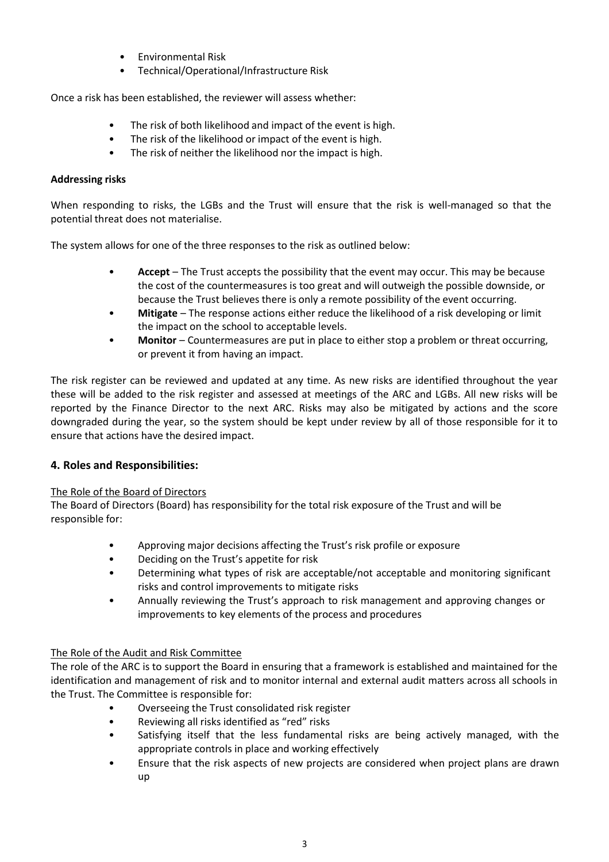- Environmental Risk
- Technical/Operational/Infrastructure Risk

Once a risk has been established, the reviewer will assess whether:

- The risk of both likelihood and impact of the event is high.
- The risk of the likelihood or impact of the event is high.
- The risk of neither the likelihood nor the impact is high.

#### **Addressing risks**

When responding to risks, the LGBs and the Trust will ensure that the risk is well-managed so that the potential threat does not materialise.

The system allows for one of the three responses to the risk as outlined below:

- **Accept**  The Trust accepts the possibility that the event may occur. This may be because the cost of the countermeasures is too great and will outweigh the possible downside, or because the Trust believes there is only a remote possibility of the event occurring.
- Mitigate The response actions either reduce the likelihood of a risk developing or limit the impact on the school to acceptable levels.
- **Monitor** Countermeasures are put in place to either stop a problem or threat occurring, or prevent it from having an impact.

The risk register can be reviewed and updated at any time. As new risks are identified throughout the year these will be added to the risk register and assessed at meetings of the ARC and LGBs. All new risks will be reported by the Finance Director to the next ARC. Risks may also be mitigated by actions and the score downgraded during the year, so the system should be kept under review by all of those responsible for it to ensure that actions have the desired impact.

#### **4. Roles and Responsibilities:**

#### The Role of the Board of Directors

The Board of Directors (Board) has responsibility for the total risk exposure of the Trust and will be responsible for:

- Approving major decisions affecting the Trust's risk profile or exposure
- Deciding on the Trust's appetite for risk
- Determining what types of risk are acceptable/not acceptable and monitoring significant risks and control improvements to mitigate risks
- Annually reviewing the Trust's approach to risk management and approving changes or improvements to key elements of the process and procedures

#### The Role of the Audit and Risk Committee

The role of the ARC is to support the Board in ensuring that a framework is established and maintained for the identification and management of risk and to monitor internal and external audit matters across all schools in the Trust. The Committee is responsible for:

- Overseeing the Trust consolidated risk register
- Reviewing all risks identified as "red" risks
- Satisfying itself that the less fundamental risks are being actively managed, with the appropriate controls in place and working effectively
- Ensure that the risk aspects of new projects are considered when project plans are drawn up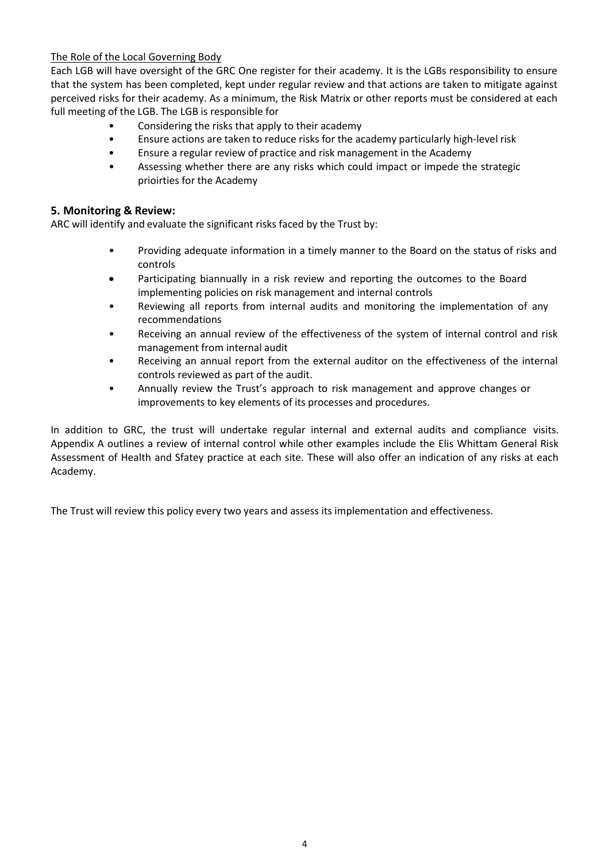### The Role of the Local Governing Body

Each LGB will have oversight of the GRC One register for their academy. It is the LGBs responsibility to ensure that the system has been completed, kept under regular review and that actions are taken to mitigate against perceived risks for their academy. As a minimum, the Risk Matrix or other reports must be considered at each full meeting of the LGB. The LGB is responsible for

- Considering the risks that apply to their academy
- Ensure actions are taken to reduce risks for the academy particularly high-level risk
- Ensure a regular review of practice and risk management in the Academy
- Assessing whether there are any risks which could impact or impede the strategic prioirties for the Academy

#### **5. Monitoring & Review:**

ARC will identify and evaluate the significant risks faced by the Trust by:

- Providing adequate information in a timely manner to the Board on the status of risks and controls
- Participating biannually in a risk review and reporting the outcomes to the Board implementing policies on risk management and internal controls
- Reviewing all reports from internal audits and monitoring the implementation of any recommendations
- Receiving an annual review of the effectiveness of the system of internal control and risk management from internal audit
- Receiving an annual report from the external auditor on the effectiveness of the internal controls reviewed as part of the audit.
- Annually review the Trust's approach to risk management and approve changes or improvements to key elements of its processes and procedures.

In addition to GRC, the trust will undertake regular internal and external audits and compliance visits. Appendix A outlines a review of internal control while other examples include the Elis Whittam General Risk Assessment of Health and Sfatey practice at each site. These will also offer an indication of any risks at each Academy.

The Trust will review this policy every two years and assess its implementation and effectiveness.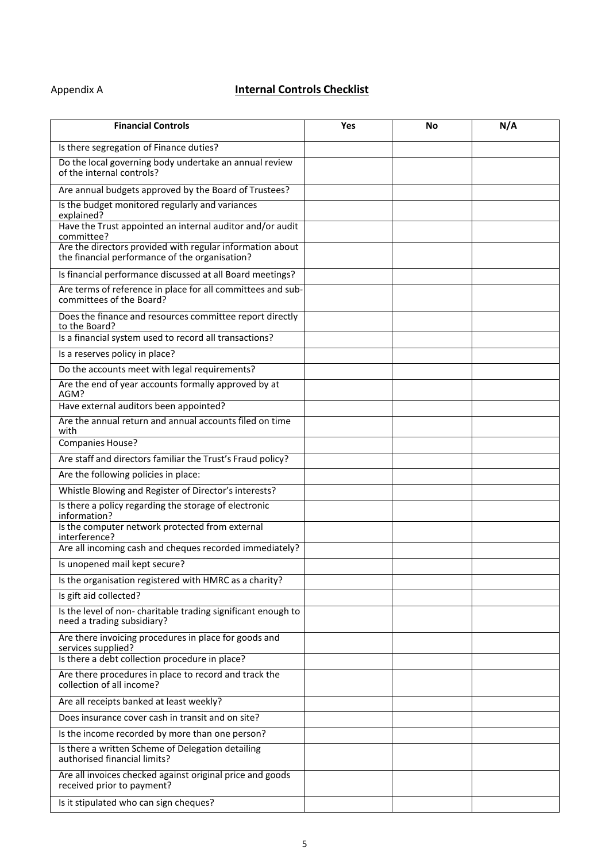## Appendix A **Internal Controls Checklist**

| <b>Financial Controls</b>                                                                                   | Yes | No | N/A |
|-------------------------------------------------------------------------------------------------------------|-----|----|-----|
| Is there segregation of Finance duties?                                                                     |     |    |     |
| Do the local governing body undertake an annual review<br>of the internal controls?                         |     |    |     |
| Are annual budgets approved by the Board of Trustees?                                                       |     |    |     |
| Is the budget monitored regularly and variances                                                             |     |    |     |
| explained?<br>Have the Trust appointed an internal auditor and/or audit<br>committee?                       |     |    |     |
| Are the directors provided with regular information about<br>the financial performance of the organisation? |     |    |     |
| Is financial performance discussed at all Board meetings?                                                   |     |    |     |
| Are terms of reference in place for all committees and sub-<br>committees of the Board?                     |     |    |     |
| Does the finance and resources committee report directly<br>to the Board?                                   |     |    |     |
| Is a financial system used to record all transactions?                                                      |     |    |     |
| Is a reserves policy in place?                                                                              |     |    |     |
| Do the accounts meet with legal requirements?                                                               |     |    |     |
| Are the end of year accounts formally approved by at<br>AGM?                                                |     |    |     |
| Have external auditors been appointed?                                                                      |     |    |     |
| Are the annual return and annual accounts filed on time<br>with                                             |     |    |     |
| <b>Companies House?</b>                                                                                     |     |    |     |
| Are staff and directors familiar the Trust's Fraud policy?                                                  |     |    |     |
| Are the following policies in place:                                                                        |     |    |     |
| Whistle Blowing and Register of Director's interests?                                                       |     |    |     |
| Is there a policy regarding the storage of electronic<br>information?                                       |     |    |     |
| Is the computer network protected from external<br>interference?                                            |     |    |     |
| Are all incoming cash and cheques recorded immediately?                                                     |     |    |     |
| Is unopened mail kept secure?                                                                               |     |    |     |
| Is the organisation registered with HMRC as a charity?                                                      |     |    |     |
| Is gift aid collected?                                                                                      |     |    |     |
| Is the level of non-charitable trading significant enough to<br>need a trading subsidiary?                  |     |    |     |
| Are there invoicing procedures in place for goods and<br>services supplied?                                 |     |    |     |
| Is there a debt collection procedure in place?                                                              |     |    |     |
| Are there procedures in place to record and track the<br>collection of all income?                          |     |    |     |
| Are all receipts banked at least weekly?                                                                    |     |    |     |
| Does insurance cover cash in transit and on site?                                                           |     |    |     |
| Is the income recorded by more than one person?                                                             |     |    |     |
| Is there a written Scheme of Delegation detailing<br>authorised financial limits?                           |     |    |     |
| Are all invoices checked against original price and goods<br>received prior to payment?                     |     |    |     |
| Is it stipulated who can sign cheques?                                                                      |     |    |     |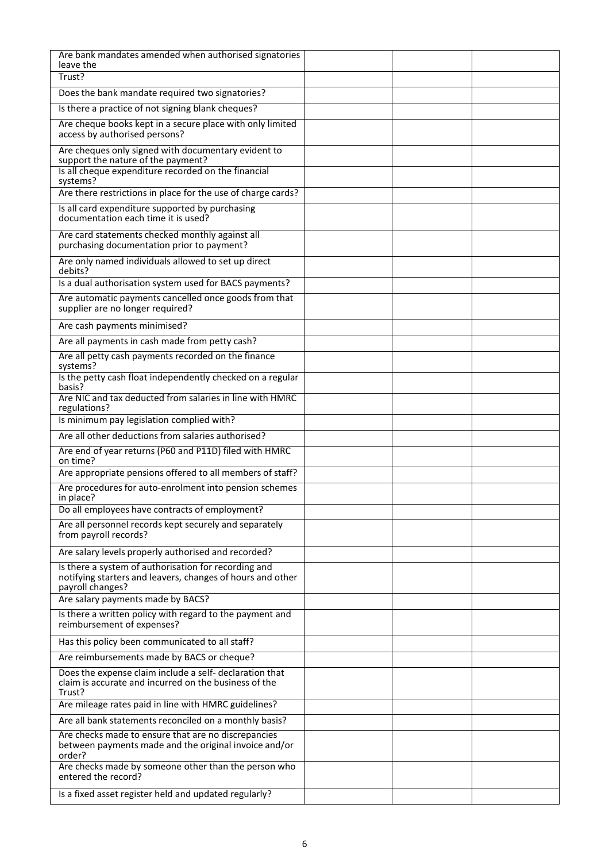| Are bank mandates amended when authorised signatories<br>leave the                                                                     |  |  |
|----------------------------------------------------------------------------------------------------------------------------------------|--|--|
| Trust?                                                                                                                                 |  |  |
| Does the bank mandate required two signatories?                                                                                        |  |  |
| Is there a practice of not signing blank cheques?                                                                                      |  |  |
| Are cheque books kept in a secure place with only limited<br>access by authorised persons?                                             |  |  |
| Are cheques only signed with documentary evident to<br>support the nature of the payment?                                              |  |  |
| Is all cheque expenditure recorded on the financial<br>systems?                                                                        |  |  |
| Are there restrictions in place for the use of charge cards?                                                                           |  |  |
| Is all card expenditure supported by purchasing<br>documentation each time it is used?                                                 |  |  |
| Are card statements checked monthly against all<br>purchasing documentation prior to payment?                                          |  |  |
| Are only named individuals allowed to set up direct<br>debits?                                                                         |  |  |
| Is a dual authorisation system used for BACS payments?                                                                                 |  |  |
| Are automatic payments cancelled once goods from that<br>supplier are no longer required?                                              |  |  |
| Are cash payments minimised?                                                                                                           |  |  |
| Are all payments in cash made from petty cash?                                                                                         |  |  |
| Are all petty cash payments recorded on the finance<br>systems?                                                                        |  |  |
| Is the petty cash float independently checked on a regular<br>basis?                                                                   |  |  |
| Are NIC and tax deducted from salaries in line with HMRC<br>regulations?                                                               |  |  |
| Is minimum pay legislation complied with?                                                                                              |  |  |
| Are all other deductions from salaries authorised?                                                                                     |  |  |
| Are end of year returns (P60 and P11D) filed with HMRC<br>on time?                                                                     |  |  |
| Are appropriate pensions offered to all members of staff?                                                                              |  |  |
| Are procedures for auto-enrolment into pension schemes<br>in place?                                                                    |  |  |
| Do all employees have contracts of employment?                                                                                         |  |  |
| Are all personnel records kept securely and separately<br>from payroll records?                                                        |  |  |
| Are salary levels properly authorised and recorded?                                                                                    |  |  |
| Is there a system of authorisation for recording and<br>notifying starters and leavers, changes of hours and other<br>payroll changes? |  |  |
| Are salary payments made by BACS?                                                                                                      |  |  |
| Is there a written policy with regard to the payment and<br>reimbursement of expenses?                                                 |  |  |
| Has this policy been communicated to all staff?                                                                                        |  |  |
| Are reimbursements made by BACS or cheque?                                                                                             |  |  |
| Does the expense claim include a self- declaration that<br>claim is accurate and incurred on the business of the<br>Trust?             |  |  |
| Are mileage rates paid in line with HMRC guidelines?                                                                                   |  |  |
| Are all bank statements reconciled on a monthly basis?                                                                                 |  |  |
| Are checks made to ensure that are no discrepancies                                                                                    |  |  |
| between payments made and the original invoice and/or<br>order?                                                                        |  |  |
| Are checks made by someone other than the person who<br>entered the record?                                                            |  |  |
| Is a fixed asset register held and updated regularly?                                                                                  |  |  |